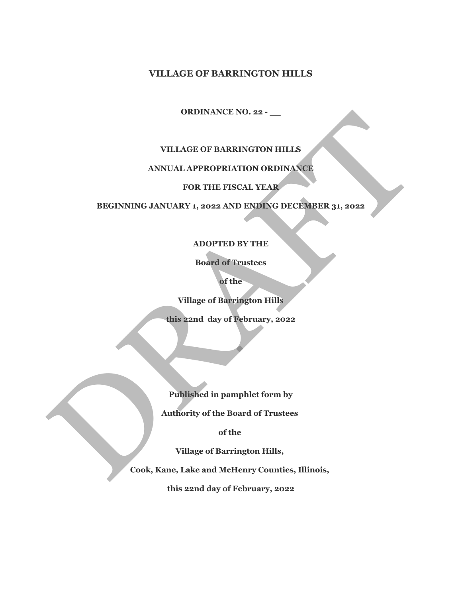## **VILLAGE OF BARRINGTON HILLS**

## **ORDINANCE NO. 22 - \_\_**

# **VILLAGE OF BARRINGTON HILLS**

# **ANNUAL APPROPRIATION ORDINANCE**

# **FOR THE FISCAL YEAR**

**BEGINNING JANUARY 1, 2022 AND ENDING DECEMBER 31, 2022** ORDINANCE NO. 22 -<br>
VILLAGE OF BARRINGTON HILLS<br>
NNIVAL APPROPRIATION ORDINANCE<br>
FOR THE FISCAL IVAN<br>
BEGINNING JANUARY 1, 2022 AND ENDING DECEMBER 31, 2022<br>
ADOPTED BY THE<br>
Boord of Trustees<br>
of the<br>
Village of Baerington

### **ADOPTED BY THE**

### **Board of Trustees**

**of the**

**Village of Barrington Hills** 

**this 22nd day of February, 2022**

**Published in pamphlet form by**

**Authority of the Board of Trustees** 

**of the** 

**Village of Barrington Hills,** 

**Cook, Kane, Lake and McHenry Counties, Illinois,** 

**this 22nd day of February, 2022**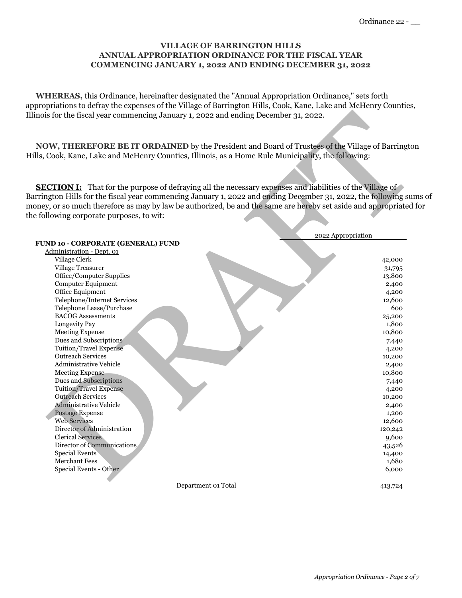### **VILLAGE OF BARRINGTON HILLS ANNUAL APPROPRIATION ORDINANCE FOR THE FISCAL YEAR COMMENCING JANUARY 1, 2022 AND ENDING DECEMBER 31, 2022**

 **WHEREAS,** this Ordinance, hereinafter designated the "Annual Appropriation Ordinance," sets forth appropriations to defray the expenses of the Village of Barrington Hills, Cook, Kane, Lake and McHenry Counties, Illinois for the fiscal year commencing January 1, 2022 and ending December 31, 2022.

**SECTION I:** That for the purpose of defraying all the necessary expenses and liabilities of the Village of Barrington Hills for the fiscal year commencing January 1, 2022 and ending December 31, 2022, the following sums of money, or so much therefore as may by law be authorized, be and the same are hereby set aside and appropriated for the following corporate purposes, to wit:

| NOW, THEREFORE BE IT ORDAINED by the President and Board of Trustees of the Village of Barringtor<br>Iills, Cook, Kane, Lake and McHenry Counties, Illinois, as a Home Rule Municipality, the following:<br><b>SECTION I:</b> That for the purpose of defraying all the necessary expenses and liabilities of the Village of |                    |
|------------------------------------------------------------------------------------------------------------------------------------------------------------------------------------------------------------------------------------------------------------------------------------------------------------------------------|--------------------|
|                                                                                                                                                                                                                                                                                                                              |                    |
|                                                                                                                                                                                                                                                                                                                              |                    |
|                                                                                                                                                                                                                                                                                                                              |                    |
| 3 arrington Hills for the fiscal year commencing January 1, 2022 and ending December 31, 2022, the following sun                                                                                                                                                                                                             |                    |
| noney, or so much therefore as may by law be authorized, be and the same are hereby set aside and appropriated f                                                                                                                                                                                                             |                    |
| he following corporate purposes, to wit:                                                                                                                                                                                                                                                                                     |                    |
|                                                                                                                                                                                                                                                                                                                              |                    |
|                                                                                                                                                                                                                                                                                                                              | 2022 Appropriation |
| <b>FUND 10 - CORPORATE (GENERAL) FUND</b>                                                                                                                                                                                                                                                                                    |                    |
| Administration - Dept. 01<br>Village Clerk                                                                                                                                                                                                                                                                                   |                    |
| Village Treasurer                                                                                                                                                                                                                                                                                                            | 42,000<br>31,795   |
| Office/Computer Supplies                                                                                                                                                                                                                                                                                                     | 13,800             |
| <b>Computer Equipment</b>                                                                                                                                                                                                                                                                                                    | 2,400              |
| Office Equipment                                                                                                                                                                                                                                                                                                             | 4,200              |
| Telephone/Internet Services                                                                                                                                                                                                                                                                                                  | 12,600             |
| Telephone Lease/Purchase                                                                                                                                                                                                                                                                                                     | 600                |
| <b>BACOG Assessments</b>                                                                                                                                                                                                                                                                                                     | 25,200             |
| Longevity Pay                                                                                                                                                                                                                                                                                                                | 1,800              |
| <b>Meeting Expense</b>                                                                                                                                                                                                                                                                                                       | 10,800             |
| Dues and Subscriptions                                                                                                                                                                                                                                                                                                       | 7,440              |
| <b>Tuition/Travel Expense</b>                                                                                                                                                                                                                                                                                                | 4,200              |
| <b>Outreach Services</b>                                                                                                                                                                                                                                                                                                     | 10,200             |
| Administrative Vehicle                                                                                                                                                                                                                                                                                                       | 2,400              |
| <b>Meeting Expense</b>                                                                                                                                                                                                                                                                                                       | 10,800             |
| Dues and Subscriptions                                                                                                                                                                                                                                                                                                       | 7,440              |
| <b>Tuition/Travel Expense</b>                                                                                                                                                                                                                                                                                                | 4,200              |
| <b>Outreach Services</b>                                                                                                                                                                                                                                                                                                     | 10,200             |
| <b>Administrative Vehicle</b>                                                                                                                                                                                                                                                                                                | 2,400              |
| Postage Expense<br><b>Web Services</b>                                                                                                                                                                                                                                                                                       | 1,200              |
| Director of Administration                                                                                                                                                                                                                                                                                                   | 12,600<br>120,242  |
| <b>Clerical Services</b>                                                                                                                                                                                                                                                                                                     | 9,600              |
| Director of Communications                                                                                                                                                                                                                                                                                                   | 43,526             |
| <b>Special Events</b>                                                                                                                                                                                                                                                                                                        | 14,400             |
| Merchant Fees                                                                                                                                                                                                                                                                                                                | 1,680              |
| Special Events - Other                                                                                                                                                                                                                                                                                                       | 6,000              |
|                                                                                                                                                                                                                                                                                                                              |                    |
| Department 01 Total                                                                                                                                                                                                                                                                                                          | 413,724            |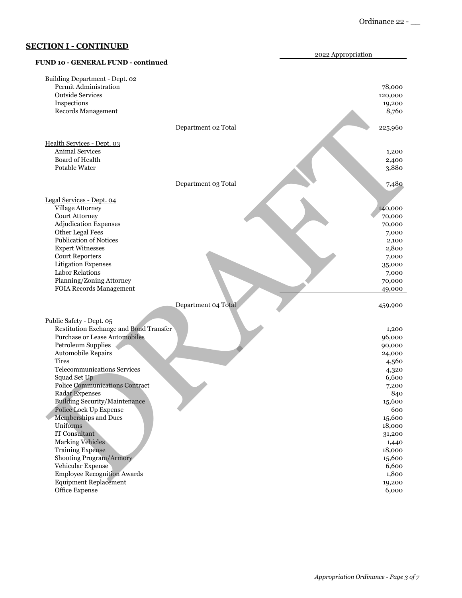|                                        | 2022 Appropriation |
|----------------------------------------|--------------------|
| FUND 10 - GENERAL FUND - continued     |                    |
| Building Department - Dept. 02         |                    |
| Permit Administration                  | 78,000             |
| <b>Outside Services</b>                | 120,000            |
| Inspections                            | 19,200             |
| Records Management                     | 8,760              |
| Department 02 Total                    | 225,960            |
| Health Services - Dept. 03             |                    |
| <b>Animal Services</b>                 | 1,200              |
| Board of Health                        | 2,400              |
| Potable Water                          | 3,880              |
| Department 03 Total                    | 7,480              |
| Legal Services - Dept. 04              |                    |
| Village Attorney                       |                    |
| Court Attorney                         | 140,000            |
| <b>Adjudication Expenses</b>           | 70,000             |
| Other Legal Fees                       | 70,000             |
| <b>Publication of Notices</b>          | 7,000<br>2,100     |
| <b>Expert Witnesses</b>                | 2,800              |
| <b>Court Reporters</b>                 | 7,000              |
| <b>Litigation Expenses</b>             |                    |
| <b>Labor Relations</b>                 | 35,000<br>7,000    |
| Planning/Zoning Attorney               | 70,000             |
| FOIA Records Management                | 49,000             |
| Department 04 Total                    | 459,900            |
|                                        |                    |
| Public Safety - Dept. 05               |                    |
| Restitution Exchange and Bond Transfer | 1,200              |
| <b>Purchase or Lease Automobiles</b>   | 96,000             |
| Petroleum Supplies                     | 90,000             |
| Automobile Repairs                     | 24,000             |
| Tires                                  | 4,560              |
| <b>Telecommunications Services</b>     | 4,320              |
| Squad Set Up                           | 6,600              |
| <b>Police Communications Contract</b>  | 7,200              |
| <b>Radar Expenses</b>                  | 840                |
| <b>Building Security/Maintenance</b>   | 15,600             |
| Police Lock Up Expense                 | 600                |
| Memberships and Dues                   | 15,600             |
| Uniforms                               | 18,000             |
| IT Consultant                          | 31,200             |
| <b>Marking Vehicles</b>                | 1,440              |
| <b>Training Expense</b>                | 18,000             |
| Shooting Program/Armory                | 15,600             |
| Vehicular Expense                      | 6,600              |
| <b>Employee Recognition Awards</b>     | 1,800              |
| <b>Equipment Replacement</b>           | 19,200             |
| Office Expense                         | 6,000              |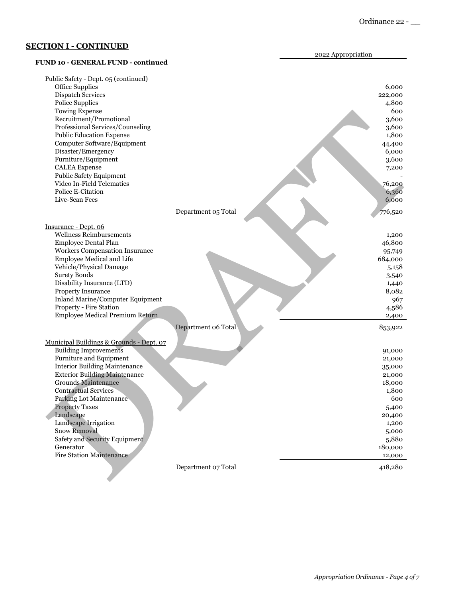|                                           | 2022 Appropriation |
|-------------------------------------------|--------------------|
| <b>FUND 10 - GENERAL FUND - continued</b> |                    |
| Public Safety - Dept. 05 (continued)      |                    |
| Office Supplies                           | 6,000              |
| Dispatch Services                         | 222,000            |
| Police Supplies                           | 4,800              |
| <b>Towing Expense</b>                     | 600                |
| Recruitment/Promotional                   | 3,600              |
| Professional Services/Counseling          | 3,600              |
| <b>Public Education Expense</b>           | 1,800              |
| Computer Software/Equipment               | 44,400             |
| Disaster/Emergency                        | 6,000              |
| Furniture/Equipment                       | 3,600              |
| <b>CALEA</b> Expense                      | 7,200              |
| <b>Public Safety Equipment</b>            |                    |
| Video In-Field Telematics                 | 76,200             |
| Police E-Citation                         | 6,360              |
| Live-Scan Fees                            | 6,000              |
| Department 05 Total                       | 776,520            |
| Insurance - Dept. 06                      |                    |
| <b>Wellness Reimbursements</b>            | 1,200              |
| Employee Dental Plan                      | 46,800             |
| Workers Compensation Insurance            | 95,749             |
| Employee Medical and Life                 | 684,000            |
| Vehicle/Physical Damage                   | 5,158              |
| <b>Surety Bonds</b>                       | 3,540              |
| Disability Insurance (LTD)                | 1,440              |
| Property Insurance                        | 8,082              |
| Inland Marine/Computer Equipment          | 967                |
| Property - Fire Station                   | 4,586              |
| Employee Medical Premium Return           | 2,400              |
| Department 06 Total                       | 853,922            |
| Municipal Buildings & Grounds - Dept. 07  |                    |
| <b>Building Improvements</b>              | 91,000             |
| Furniture and Equipment                   | 21,000             |
| <b>Interior Building Maintenance</b>      | 35,000             |
| <b>Exterior Building Maintenance</b>      | 21,000             |
| <b>Grounds Maintenance</b>                | 18,000             |
| <b>Contractual Services</b>               | 1,800              |
| Parking Lot Maintenance                   | 600                |
| <b>Property Taxes</b>                     | 5,400              |
| Landscape                                 | 20,400             |
| Landscape Irrigation                      | 1,200              |
| <b>Snow Removal</b>                       | 5,000              |
| Safety and Security Equipment             | 5,880              |
| Generator                                 | 180,000            |
| <b>Fire Station Maintenance</b>           | 12,000             |
| Department 07 Total                       | 418,280            |
|                                           |                    |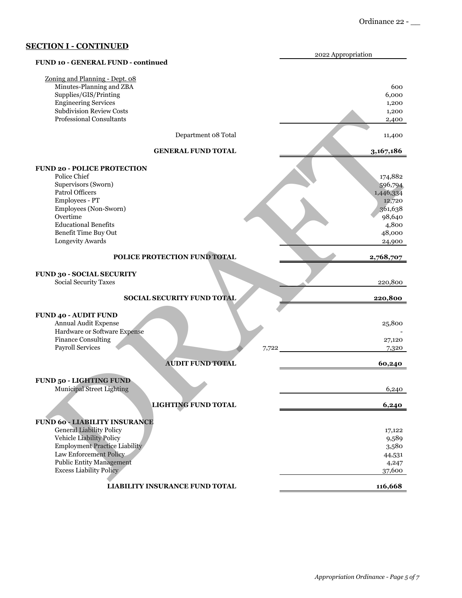| ,,,,,,,,,,,,                                                          | 2022 Appropriation |
|-----------------------------------------------------------------------|--------------------|
| FUND 10 - GENERAL FUND - continued                                    |                    |
| Zoning and Planning - Dept. 08                                        |                    |
| Minutes-Planning and ZBA                                              | 600                |
| Supplies/GIS/Printing                                                 | 6,000              |
| <b>Engineering Services</b>                                           | 1,200              |
| <b>Subdivision Review Costs</b>                                       | 1,200              |
| <b>Professional Consultants</b>                                       | 2,400              |
| Department 08 Total                                                   | 11,400             |
| <b>GENERAL FUND TOTAL</b>                                             | 3,167,186          |
| <b>FUND 20 - POLICE PROTECTION</b>                                    |                    |
| Police Chief                                                          | 174,882            |
| Supervisors (Sworn)                                                   | 596,794            |
| Patrol Officers                                                       | 1,446,334          |
| Employees - PT                                                        | 12,720             |
| Employees (Non-Sworn)                                                 | 361,638            |
| Overtime                                                              | 98,640             |
| <b>Educational Benefits</b>                                           | 4,800              |
| Benefit Time Buy Out                                                  | 48,000             |
| Longevity Awards                                                      | 24,900             |
| POLICE PROTECTION FUND TOTAL                                          | 2,768,707          |
| <b>FUND 30 - SOCIAL SECURITY</b>                                      |                    |
| Social Security Taxes                                                 | 220,800            |
| SOCIAL SECURITY FUND TOTAL                                            | 220,800            |
|                                                                       |                    |
| <b>FUND 40 - AUDIT FUND</b><br>Annual Audit Expense                   |                    |
| Hardware or Software Expense                                          | 25,800             |
| Finance Consulting                                                    | 27,120             |
| Payroll Services<br>7,722                                             | 7,320              |
| <b>AUDIT FUND TOTAL</b>                                               | 60,240             |
|                                                                       |                    |
| <b>FUND 50 - LIGHTING FUND</b>                                        |                    |
| <b>Municipal Street Lighting</b>                                      | 6,240              |
| <b>LIGHTING FUND TOTAL</b>                                            | 6,240              |
|                                                                       |                    |
| <b>FUND 60 - LIABILITY INSURANCE</b>                                  |                    |
| <b>General Liability Policy</b>                                       | 17,122             |
| Vehicle Liability Policy                                              | 9,589              |
| <b>Employment Practice Liability</b><br><b>Law Enforcement Policy</b> | 3,580              |
| <b>Public Entity Management</b>                                       | 44,531             |
| Excess Liability Policy                                               | 4,247<br>37,600    |
|                                                                       |                    |
| LIABILITY INSURANCE FUND TOTAL                                        | 116,668            |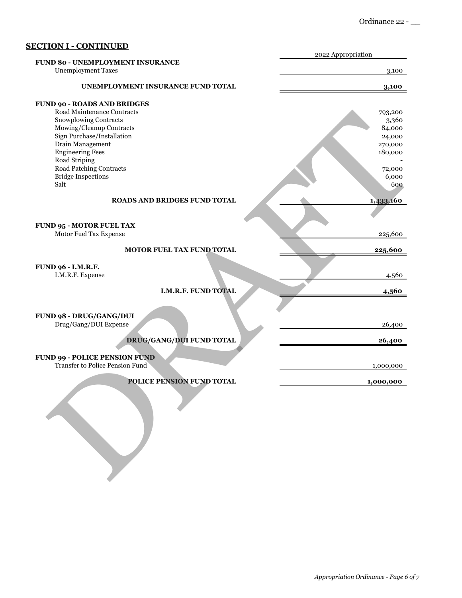|                                      | 2022 Appropriation |
|--------------------------------------|--------------------|
| FUND 80 - UNEMPLOYMENT INSURANCE     |                    |
| <b>Unemployment Taxes</b>            | 3,100              |
| UNEMPLOYMENT INSURANCE FUND TOTAL    | 3,100              |
| <b>FUND 90 - ROADS AND BRIDGES</b>   |                    |
| Road Maintenance Contracts           |                    |
| Snowplowing Contracts                | 793,200            |
|                                      | 3,360              |
| Mowing/Cleanup Contracts             | 84,000             |
| Sign Purchase/Installation           | 24,000             |
| Drain Management                     | 270,000            |
| <b>Engineering Fees</b>              | 180,000            |
| Road Striping                        |                    |
| Road Patching Contracts              | 72,000             |
| <b>Bridge Inspections</b>            | 6,000              |
| Salt                                 | 600                |
| <b>ROADS AND BRIDGES FUND TOTAL</b>  | 1,433,160          |
|                                      |                    |
| <b>FUND 95 - MOTOR FUEL TAX</b>      |                    |
| Motor Fuel Tax Expense               | 225,600            |
|                                      |                    |
| MOTOR FUEL TAX FUND TOTAL            | 225,600            |
| FUND 96 - I.M.R.F.                   |                    |
| I.M.R.F. Expense                     | 4,560              |
|                                      |                    |
| I.M.R.F. FUND TOTAL                  | 4,560              |
|                                      |                    |
| FUND 98 - DRUG/GANG/DUI              |                    |
| Drug/Gang/DUI Expense                | 26,400             |
|                                      |                    |
| <b>DRUG/GANG/DUI FUND TOTAL</b>      | 26,400             |
|                                      |                    |
| <b>FUND 99 - POLICE PENSION FUND</b> |                    |
| Transfer to Police Pension Fund      | 1,000,000          |
| POLICE PENSION FUND TOTAL            | 1,000,000          |
|                                      |                    |
|                                      |                    |
|                                      |                    |
|                                      |                    |
|                                      |                    |
|                                      |                    |
|                                      |                    |
|                                      |                    |
|                                      |                    |
|                                      |                    |
|                                      |                    |
|                                      |                    |